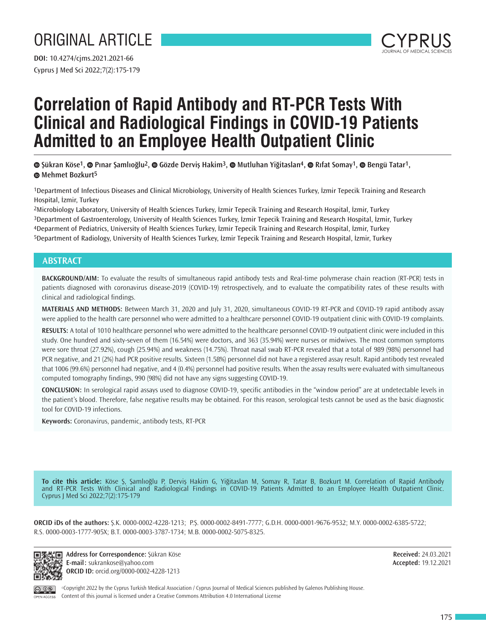# ORIGINAL ARTICLE



# **Correlation of Rapid Antibody and RT-PCR Tests With Clinical and Radiological Findings in COVID-19 Patients Admitted to an Employee Health Outpatient Clinic**

**OSükran Köse<sup>1</sup>, O Pinar Samlioğlu<sup>2</sup>, O Gözde Dervis Hakim<sup>3</sup>, O Mutluhan Yiğitaslan<sup>4</sup>, O Rifat Somay<sup>1</sup>, O Bengü Tatar<sup>1</sup>, Mehmet Bozkurt5**

1Department of Infectious Diseases and Clinical Microbiology, University of Health Sciences Turkey, İzmir Tepecik Training and Research Hospital, İzmir, Turkey

2Microbiology Laboratory, University of Health Sciences Turkey, İzmir Tepecik Training and Research Hospital, İzmir, Turkey 3Department of Gastroenterology, University of Health Sciences Turkey, İzmir Tepecik Training and Research Hospital, İzmir, Turkey 4Deparment of Pediatrics, University of Health Sciences Turkey, İzmir Tepecik Training and Research Hospital, İzmir, Turkey 5Department of Radiology, University of Health Sciences Turkey, İzmir Tepecik Training and Research Hospital, İzmir, Turkey

# **ABSTRACT**

**BACKGROUND/AIM:** To evaluate the results of simultaneous rapid antibody tests and Real-time polymerase chain reaction (RT-PCR) tests in patients diagnosed with coronavirus disease-2019 (COVID-19) retrospectively, and to evaluate the compatibility rates of these results with clinical and radiological findings.

**MATERIALS AND METHODS:** Between March 31, 2020 and July 31, 2020, simultaneous COVID-19 RT-PCR and COVID-19 rapid antibody assay were applied to the health care personnel who were admitted to a healthcare personnel COVID-19 outpatient clinic with COVID-19 complaints.

**RESULTS:** A total of 1010 healthcare personnel who were admitted to the healthcare personnel COVID-19 outpatient clinic were included in this study. One hundred and sixty-seven of them (16.54%) were doctors, and 363 (35.94%) were nurses or midwives. The most common symptoms were sore throat (27.92%), cough (25.94%) and weakness (14.75%). Throat nasal swab RT-PCR revealed that a total of 989 (98%) personnel had PCR negative, and 21 (2%) had PCR positive results. Sixteen (1.58%) personnel did not have a registered assay result. Rapid antibody test revealed that 1006 (99.6%) personnel had negative, and 4 (0.4%) personnel had positive results. When the assay results were evaluated with simultaneous computed tomography findings, 990 (98%) did not have any signs suggesting COVID-19.

**CONCLUSION:** In serological rapid assays used to diagnose COVID-19, specific antibodies in the "window period" are at undetectable levels in the patient's blood. Therefore, false negative results may be obtained. For this reason, serological tests cannot be used as the basic diagnostic tool for COVID-19 infections.

**Keywords:** Coronavirus, pandemic, antibody tests, RT-PCR

**To cite this article:** Köse Ş, Şamlıoğlu P, Derviş Hakim G, Yiğitaslan M, Somay R, Tatar B, Bozkurt M. Correlation of Rapid Antibody and RT-PCR Tests With Clinical and Radiological Findings in COVID-19 Patients Admitted to an Employee Health Outpatient Clinic. Cyprus J Med Sci 2022;7(2):175-179

**ORCID iDs of the authors:** Ş.K. 0000-0002-4228-1213; P.Ş. 0000-0002-8491-7777; G.D.H. 0000-0001-9676-9532; M.Y. 0000-0002-6385-5722; R.S. 0000-0003-1777-905X; B.T. 0000-0003-3787-1734; M.B. 0000-0002-5075-8325.



**国聚盐国 Address for Correspondence:** Şükran Köse **E-mail:** sukrankose@yahoo.com **ORCID ID:** orcid.org/0000-0002-4228-1213

**Received:** 24.03.2021 **Accepted:** 19.12.2021



©Copyright 2022 by the Cyprus Turkish Medical Association / Cyprus Journal of Medical Sciences published by Galenos Publishing House. Content of this journal is licensed under a Creative Commons Attribution 4.0 International License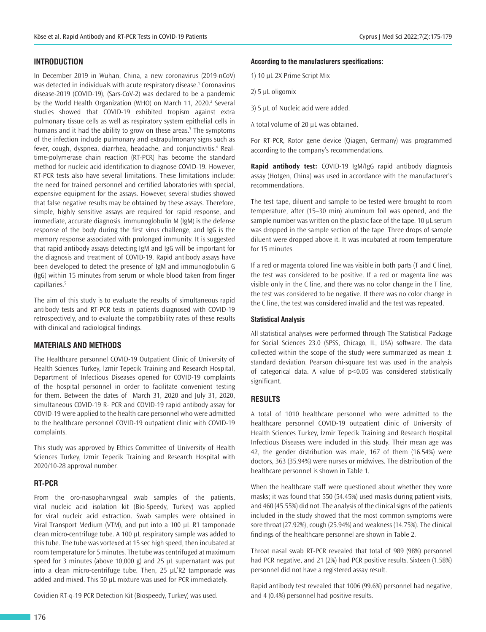# **INTRODUCTION**

In December 2019 in Wuhan, China, a new coronavirus (2019-nCoV) was detected in individuals with acute respiratory disease.<sup>1</sup> Coronavirus disease-2019 (COVID-19), (Sars-CoV-2) was declared to be a pandemic by the World Health Organization (WHO) on March 11, 2020.<sup>2</sup> Several studies showed that COVID-19 exhibited tropism against extra pulmonary tissue cells as well as respiratory system epithelial cells in humans and it had the ability to grow on these areas.<sup>3</sup> The symptoms of the infection include pulmonary and extrapulmonary signs such as fever, cough, dyspnea, diarrhea, headache, and conjunctivitis.<sup>4</sup> Realtime-polymerase chain reaction (RT-PCR) has become the standard method for nucleic acid identification to diagnose COVID-19. However, RT-PCR tests also have several limitations. These limitations include; the need for trained personnel and certified laboratories with special, expensive equipment for the assays. However, several studies showed that false negative results may be obtained by these assays. Therefore, simple, highly sensitive assays are required for rapid response, and immediate, accurate diagnosis. immunoglobulin M (IgM) is the defense response of the body during the first virus challenge, and IgG is the memory response associated with prolonged immunity. It is suggested that rapid antibody assays detecting IgM and IgG will be important for the diagnosis and treatment of COVID-19. Rapid antibody assays have been developed to detect the presence of IgM and immunoglobulin G (IgG) within 15 minutes from serum or whole blood taken from finger capillaries.<sup>5</sup>

The aim of this study is to evaluate the results of simultaneous rapid antibody tests and RT-PCR tests in patients diagnosed with COVID-19 retrospectively, and to evaluate the compatibility rates of these results with clinical and radiological findings.

# **MATERIALS AND METHODS**

The Healthcare personnel COVID-19 Outpatient Clinic of University of Health Sciences Turkey, İzmir Tepecik Training and Research Hospital, Department of Infectious Diseases opened for COVID-19 complaints of the hospital personnel in order to facilitate convenient testing for them. Between the dates of March 31, 2020 and July 31, 2020, simultaneous COVID-19 R- PCR and COVID-19 rapid antibody assay for COVID-19 were applied to the health care personnel who were admitted to the healthcare personnel COVID-19 outpatient clinic with COVID-19 complaints.

This study was approved by Ethics Committee of University of Health Sciences Turkey, İzmir Tepecik Training and Research Hospital with 2020/10-28 approval number.

#### **RT-PCR**

From the oro-nasopharyngeal swab samples of the patients, viral nucleic acid isolation kit (Bio-Speedy, Turkey) was applied for viral nucleic acid extraction. Swab samples were obtained in Viral Transport Medium (VTM), and put into a 100 µL R1 tamponade clean micro-centrifuge tube. A 100 µL respiratory sample was added to this tube. The tube was vortexed at 15 sec high speed, then incubated at room temperature for 5 minutes. The tube was centrifuged at maximum speed for 3 minutes (above 10,000 g) and 25 µL supernatant was put into a clean micro-centrifuge tube. Then, 25 µL'R2 tamponade was added and mixed. This 50 µL mixture was used for PCR immediately.

Covidien RT-q-19 PCR Detection Kit (Biospeedy, Turkey) was used.

#### **According to the manufacturers specifications:**

1) 10 µL 2X Prime Script Mix

2) 5 µL oligomix

3) 5 µL of Nucleic acid were added.

A total volume of 20 µL was obtained.

For RT-PCR, Rotor gene device (Qiagen, Germany) was programmed according to the company's recommendations.

**Rapid antibody test:** COVID-19 IgM/IgG rapid antibody diagnosis assay (Hotgen, China) was used in accordance with the manufacturer's recommendations.

The test tape, diluent and sample to be tested were brought to room temperature, after (15–30 min) aluminum foil was opened, and the sample number was written on the plastic face of the tape. 10 μL serum was dropped in the sample section of the tape. Three drops of sample diluent were dropped above it. It was incubated at room temperature for 15 minutes.

If a red or magenta colored line was visible in both parts (T and C line), the test was considered to be positive. If a red or magenta line was visible only in the C line, and there was no color change in the T line, the test was considered to be negative. If there was no color change in the C line, the test was considered invalid and the test was repeated.

#### **Statistical Analysis**

All statistical analyses were performed through The Statistical Package for Social Sciences 23.0 (SPSS, Chicago, IL, USA) software. The data collected within the scope of the study were summarized as mean  $\pm$ standard deviation. Pearson chi-square test was used in the analysis of categorical data. A value of p<0.05 was considered statistically significant.

# **RESULTS**

A total of 1010 healthcare personnel who were admitted to the healthcare personnel COVID-19 outpatient clinic of University of Health Sciences Turkey, İzmir Tepecik Training and Research Hospital Infectious Diseases were included in this study. Their mean age was 42, the gender distribution was male, 167 of them (16.54%) were doctors, 363 (35.94%) were nurses or midwives. The distribution of the healthcare personnel is shown in Table 1.

When the healthcare staff were questioned about whether they wore masks; it was found that 550 (54.45%) used masks during patient visits, and 460 (45.55%) did not. The analysis of the clinical signs of the patients included in the study showed that the most common symptoms were sore throat (27.92%), cough (25.94%) and weakness (14.75%). The clinical findings of the healthcare personnel are shown in Table 2.

Throat nasal swab RT-PCR revealed that total of 989 (98%) personnel had PCR negative, and 21 (2%) had PCR positive results. Sixteen (1.58%) personnel did not have a registered assay result.

Rapid antibody test revealed that 1006 (99.6%) personnel had negative, and 4 (0.4%) personnel had positive results.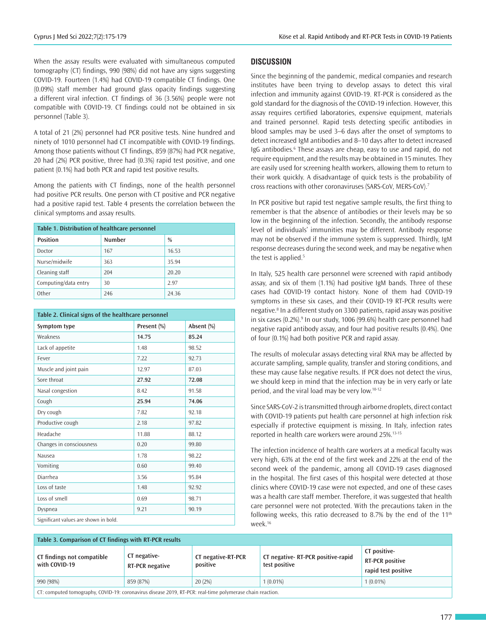When the assay results were evaluated with simultaneous computed tomography (CT) findings, 990 (98%) did not have any signs suggesting COVID-19. Fourteen (1.4%) had COVID-19 compatible CT findings. One (0.09%) staff member had ground glass opacity findings suggesting a different viral infection. CT findings of 36 (3.56%) people were not compatible with COVID-19. CT findings could not be obtained in six personnel (Table 3).

A total of 21 (2%) personnel had PCR positive tests. Nine hundred and ninety of 1010 personnel had CT incompatible with COVID-19 findings. Among those patients without CT findings, 859 (87%) had PCR negative, 20 had (2%) PCR positive, three had (0.3%) rapid test positive, and one patient (0.1%) had both PCR and rapid test positive results.

Among the patients with CT findings, none of the health personnel had positive PCR results. One person with CT positive and PCR negative had a positive rapid test. Table 4 presents the correlation between the clinical symptoms and assay results.

| Table 1. Distribution of healthcare personnel |               |       |  |  |  |  |
|-----------------------------------------------|---------------|-------|--|--|--|--|
| <b>Position</b>                               | <b>Number</b> | %     |  |  |  |  |
| Doctor                                        | 167           | 16.53 |  |  |  |  |
| Nurse/midwife                                 | 363           | 35.94 |  |  |  |  |
| Cleaning staff                                | 204           | 20.20 |  |  |  |  |
| Computing/data entry                          | 30            | 297   |  |  |  |  |
| Other                                         | 246           | 24.36 |  |  |  |  |

| Table 2. Clinical signs of the healthcare personnel |             |            |  |  |  |  |
|-----------------------------------------------------|-------------|------------|--|--|--|--|
| Symptom type                                        | Present (%) | Absent (%) |  |  |  |  |
| Weakness                                            | 14.75       | 85.24      |  |  |  |  |
| Lack of appetite                                    | 1.48        | 98.52      |  |  |  |  |
| Fever                                               | 7.22        | 92.73      |  |  |  |  |
| Muscle and joint pain                               | 12.97       | 87.03      |  |  |  |  |
| Sore throat                                         | 27.92       | 72.08      |  |  |  |  |
| Nasal congestion                                    | 8.42        | 91.58      |  |  |  |  |
| Cough                                               | 25.94       | 74.06      |  |  |  |  |
| Dry cough                                           | 7.82        | 92.18      |  |  |  |  |
| Productive cough                                    | 2.18        | 97.82      |  |  |  |  |
| Headache                                            | 11.88       | 88.12      |  |  |  |  |
| Changes in consciousness                            | 0.20        | 99.80      |  |  |  |  |
| Nausea                                              | 1.78        | 98.22      |  |  |  |  |
| Vomiting                                            | 0.60        | 99.40      |  |  |  |  |
| Diarrhea                                            | 3.56        | 95.84      |  |  |  |  |
| Loss of taste                                       | 1.48        | 92.92      |  |  |  |  |
| Loss of smell                                       | 0.69        | 98.71      |  |  |  |  |
| Dyspnea                                             | 9.21        | 90.19      |  |  |  |  |
| Significant values are shown in bold.               |             |            |  |  |  |  |

### **DISCUSSION**

Since the beginning of the pandemic, medical companies and research institutes have been trying to develop assays to detect this viral infection and immunity against COVID-19. RT-PCR is considered as the gold standard for the diagnosis of the COVID-19 infection. However, this assay requires certified laboratories, expensive equipment, materials and trained personnel. Rapid tests detecting specific antibodies in blood samples may be used 3–6 days after the onset of symptoms to detect increased IgM antibodies and 8–10 days after to detect increased IgG antibodies.<sup>6</sup> These assays are cheap, easy to use and rapid, do not require equipment, and the results may be obtained in 15 minutes. They are easily used for screening health workers, allowing them to return to their work quickly. A disadvantage of quick tests is the probability of cross reactions with other coronaviruses (SARS-CoV, MERS-CoV).<sup>7</sup>

In PCR positive but rapid test negative sample results, the first thing to remember is that the absence of antibodies or their levels may be so low in the beginning of the infection. Secondly, the antibody response level of individuals' immunities may be different. Antibody response may not be observed if the immune system is suppressed. Thirdly, IgM response decreases during the second week, and may be negative when the test is applied.<sup>5</sup>

In Italy, 525 health care personnel were screened with rapid antibody assay, and six of them (1.1%) had positive IgM bands. Three of these cases had COVID-19 contact history. None of them had COVID-19 symptoms in these six cases, and their COVID-19 RT-PCR results were negative.<sup>8</sup> In a different study on 3300 patients, rapid assay was positive in six cases (0.2%).<sup>9</sup> In our study, 1006 (99.6%) health care personnel had negative rapid antibody assay, and four had positive results (0.4%). One of four (0.1%) had both positive PCR and rapid assay.

The results of molecular assays detecting viral RNA may be affected by accurate sampling, sample quality, transfer and storing conditions, and these may cause false negative results. If PCR does not detect the virus, we should keep in mind that the infection may be in very early or late period, and the viral load may be very low.10-12

Since SARS-CoV-2 is transmitted through airborne droplets, direct contact with COVID-19 patients put health care personnel at high infection risk especially if protective equipment is missing. In Italy, infection rates reported in health care workers were around 25%.13-15

The infection incidence of health care workers at a medical faculty was very high, 63% at the end of the first week and 22% at the end of the second week of the pandemic, among all COVID-19 cases diagnosed in the hospital. The first cases of this hospital were detected at those clinics where COVID-19 case were not expected, and one of these cases was a health care staff member. Therefore, it was suggested that health care personnel were not protected. With the precautions taken in the following weeks, this ratio decreased to 8.7% by the end of the  $11<sup>th</sup>$ week.<sup>16</sup>

| Table 3. Comparison of CT findings with RT-PCR results                                                    |                                 |                                |                                                    |                                                               |  |  |  |
|-----------------------------------------------------------------------------------------------------------|---------------------------------|--------------------------------|----------------------------------------------------|---------------------------------------------------------------|--|--|--|
| CT findings not compatible<br>with COVID-19                                                               | CT negative-<br>RT-PCR negative | CT negative-RT-PCR<br>positive | CT negative-RT-PCR positive-rapid<br>test positive | CT positive-<br><b>RT-PCR positive</b><br>rapid test positive |  |  |  |
| 990 (98%)                                                                                                 | 859 (87%)                       | 20(2%)                         | $1(0.01\%)$                                        | $1(0.01\%)$                                                   |  |  |  |
| CT: computed tomography, COVID-19: coronavirus disease 2019, RT-PCR: real-time polymerase chain reaction. |                                 |                                |                                                    |                                                               |  |  |  |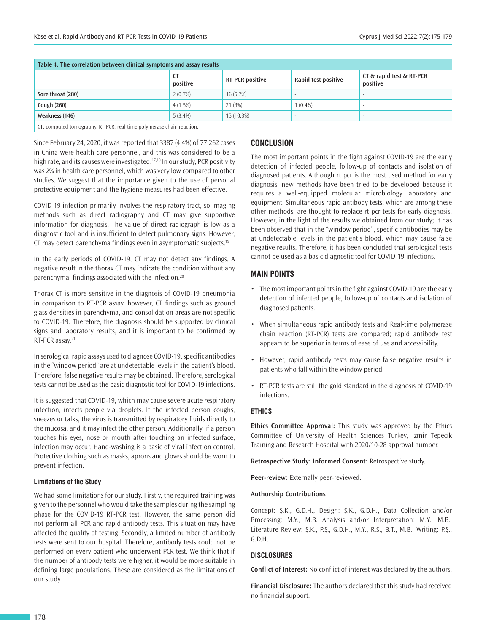| Table 4. The correlation between clinical symptoms and assay results  |                |                        |                     |                                      |  |  |  |
|-----------------------------------------------------------------------|----------------|------------------------|---------------------|--------------------------------------|--|--|--|
|                                                                       | CT<br>positive | <b>RT-PCR positive</b> | Rapid test positive | CT & rapid test & RT-PCR<br>positive |  |  |  |
| Sore throat (280)                                                     | 2(0.7%)        | 16(5.7%)               | . .                 |                                      |  |  |  |
| Cough $(260)$                                                         | 4(1.5%)        | 21 (8%)                | $1(0.4\%)$          |                                      |  |  |  |
| Weakness (146)                                                        | $5(3.4\%)$     | 15 (10.3%)             | - 1                 |                                      |  |  |  |
| CT: computed tomography, RT-PCR: real-time polymerase chain reaction. |                |                        |                     |                                      |  |  |  |

Since February 24, 2020, it was reported that 3387 (4.4%) of 77,262 cases in China were health care personnel, and this was considered to be a high rate, and its causes were investigated.<sup>17,18</sup> In our study, PCR positivity was 2% in health care personnel, which was very low compared to other studies. We suggest that the importance given to the use of personal protective equipment and the hygiene measures had been effective.

COVID-19 infection primarily involves the respiratory tract, so imaging methods such as direct radiography and CT may give supportive information for diagnosis. The value of direct radiograph is low as a diagnostic tool and is insufficient to detect pulmonary signs. However, CT may detect parenchyma findings even in asymptomatic subjects.<sup>19</sup>

In the early periods of COVID-19, CT may not detect any findings. A negative result in the thorax CT may indicate the condition without any parenchymal findings associated with the infection.<sup>20</sup>

Thorax CT is more sensitive in the diagnosis of COVID-19 pneumonia in comparison to RT-PCR assay, however, CT findings such as ground glass densities in parenchyma, and consolidation areas are not specific to COVID-19. Therefore, the diagnosis should be supported by clinical signs and laboratory results, and it is important to be confirmed by RT-PCR assay.<sup>21</sup>

In serological rapid assays used to diagnose COVID-19, specific antibodies in the "window period" are at undetectable levels in the patient's blood. Therefore, false negative results may be obtained. Therefore, serological tests cannot be used as the basic diagnostic tool for COVID-19 infections.

It is suggested that COVID-19, which may cause severe acute respiratory infection, infects people via droplets. If the infected person coughs, sneezes or talks, the virus is transmitted by respiratory fluids directly to the mucosa, and it may infect the other person. Additionally, if a person touches his eyes, nose or mouth after touching an infected surface, infection may occur. Hand-washing is a basic of viral infection control. Protective clothing such as masks, aprons and gloves should be worn to prevent infection.

#### **Limitations of the Study**

We had some limitations for our study. Firstly, the required training was given to the personnel who would take the samples during the sampling phase for the COVID-19 RT-PCR test. However, the same person did not perform all PCR and rapid antibody tests. This situation may have affected the quality of testing. Secondly, a limited number of antibody tests were sent to our hospital. Therefore, antibody tests could not be performed on every patient who underwent PCR test. We think that if the number of antibody tests were higher, it would be more suitable in defining large populations. These are considered as the limitations of our study.

# **CONCLUSION**

The most important points in the fight against COVID-19 are the early detection of infected people, follow-up of contacts and isolation of diagnosed patients. Although rt pcr is the most used method for early diagnosis, new methods have been tried to be developed because it requires a well-equipped molecular microbiology laboratory and equipment. Simultaneous rapid antibody tests, which are among these other methods, are thought to replace rt pcr tests for early diagnosis. However, in the light of the results we obtained from our study; It has been observed that in the "window period", specific antibodies may be at undetectable levels in the patient's blood, which may cause false negative results. Therefore, it has been concluded that serological tests cannot be used as a basic diagnostic tool for COVID-19 infections.

# **MAIN POINTS**

- The most important points in the fight against COVID-19 are the early detection of infected people, follow-up of contacts and isolation of diagnosed patients.
- When simultaneous rapid antibody tests and Real-time polymerase chain reaction (RT-PCR) tests are compared; rapid antibody test appears to be superior in terms of ease of use and accessibility.
- However, rapid antibody tests may cause false negative results in patients who fall within the window period.
- RT-PCR tests are still the gold standard in the diagnosis of COVID-19 infections.

### **ETHICS**

**Ethics Committee Approval:** This study was approved by the Ethics Committee of University of Health Sciences Turkey, İzmir Tepecik Training and Research Hospital with 2020/10-28 approval number.

**Retrospective Study: Informed Consent:** Retrospective study.

**Peer-review:** Externally peer-reviewed.

#### **Authorship Contributions**

Concept: Ş.K., G.D.H., Design: Ş.K., G.D.H., Data Collection and/or Processing: M.Y., M.B. Analysis and/or Interpretation: M.Y., M.B., Literature Review: Ş.K., P.Ş., G.D.H., M.Y., R.S., B.T., M.B., Writing: P.Ş., G.D.H.

#### **DISCLOSURES**

**Conflict of Interest:** No conflict of interest was declared by the authors.

**Financial Disclosure:** The authors declared that this study had received no financial support.